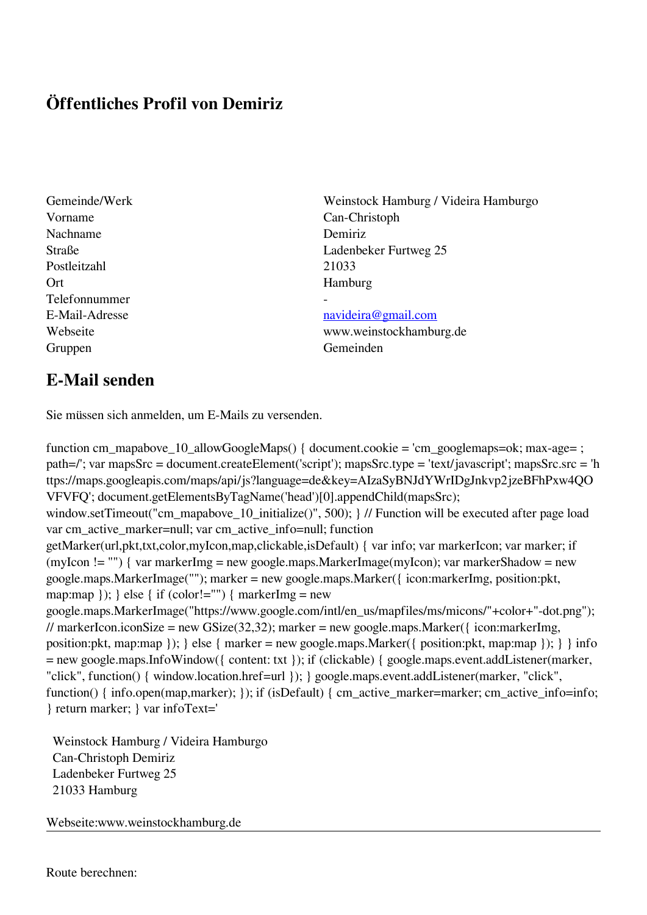## **Öffentliches Profil von Demiriz**

Vorname Can-Christoph Nachname Demiriz Postleitzahl 21033 Ort Hamburg Telefonnummer Gruppen Gemeinden Gemeinden Gemeinden Gemeinden Gemeinden Gemeinden Gemeinden Gemeinden Gemeinden Gemeinden G

Gemeinde/Werk Weinstock Hamburg / Videira Hamburgo Straße Ladenbeker Furtweg 25

## E-Mail-Adresse [navideira@gmail.com](mailto:navideira@gmail.com)

Webseite www.weinstockhamburg.de

## **E-Mail senden**

Sie müssen sich anmelden, um E-Mails zu versenden.

function cm\_mapabove\_10\_allowGoogleMaps() { document.cookie = 'cm\_googlemaps=ok; max-age= ; path=/'; var mapsSrc = document.createElement('script'); mapsSrc.type = 'text/javascript'; mapsSrc.src = 'h ttps://maps.googleapis.com/maps/api/js?language=de&key=AIzaSyBNJdYWrIDgJnkvp2jzeBFhPxw4QO VFVFQ'; document.getElementsByTagName('head')[0].appendChild(mapsSrc); window.setTimeout("cm\_mapabove\_10\_initialize()", 500); } // Function will be executed after page load var cm\_active\_marker=null; var cm\_active\_info=null; function getMarker(url,pkt,txt,color,myIcon,map,clickable,isDefault) { var info; var markerIcon; var marker; if (myIcon != "") { var markerImg = new google.maps.MarkerImage(myIcon); var markerShadow = new google.maps.MarkerImage(""); marker = new google.maps.Marker({ icon:markerImg, position:pkt, map:map  $\}$ ;  $\}$  else  $\{$  if (color!="")  $\{$  markerImg = new google.maps.MarkerImage("https://www.google.com/intl/en\_us/mapfiles/ms/micons/"+color+"-dot.png"); // markerIcon.iconSize = new GSize(32,32); marker = new google.maps.Marker({ $i$ con:markerImg, position:pkt, map:map }); } else { marker = new google.maps.Marker({ position:pkt, map:map }); } } info = new google.maps.InfoWindow({ content: txt }); if (clickable) { google.maps.event.addListener(marker, "click", function() { window.location.href=url }); } google.maps.event.addListener(marker, "click", function() { info.open(map,marker); }); if (isDefault) { cm\_active\_marker=marker; cm\_active\_info=info; } return marker; } var infoText='

 Weinstock Hamburg / Videira Hamburgo Can-Christoph Demiriz Ladenbeker Furtweg 25 21033 Hamburg

Webseite:www.weinstockhamburg.de